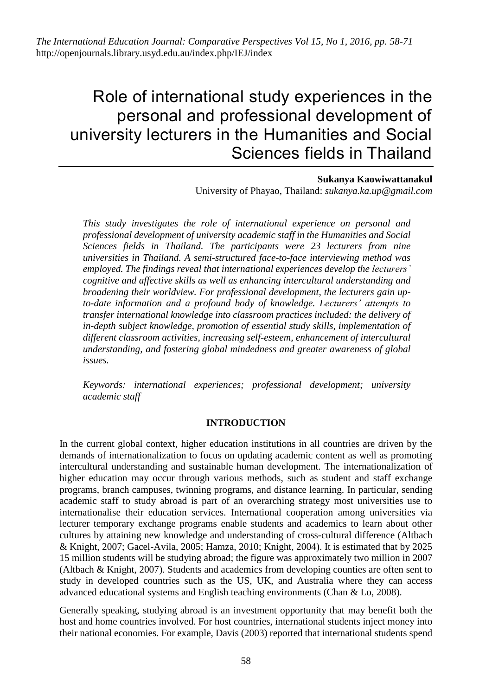# Role of international study experiences in the personal and professional development of university lecturers in the Humanities and Social Sciences fields in Thailand

**Sukanya Kaowiwattanakul**

University of Phayao, Thailand: *sukanya.ka.up@gmail.com*

*This study investigates the role of international experience on personal and professional development of university academic staff in the Humanities and Social Sciences fields in Thailand. The participants were 23 lecturers from nine universities in Thailand. A semi-structured face-to-face interviewing method was employed. The findings reveal that international experiences develop the lecturers' cognitive and affective skills as well as enhancing intercultural understanding and broadening their worldview. For professional development, the lecturers gain upto-date information and a profound body of knowledge. Lecturers' attempts to transfer international knowledge into classroom practices included: the delivery of in-depth subject knowledge, promotion of essential study skills, implementation of different classroom activities, increasing self-esteem, enhancement of intercultural understanding, and fostering global mindedness and greater awareness of global issues.*

*Keywords: international experiences; professional development; university academic staff*

#### **INTRODUCTION**

In the current global context, higher education institutions in all countries are driven by the demands of internationalization to focus on updating academic content as well as promoting intercultural understanding and sustainable human development. The internationalization of higher education may occur through various methods, such as student and staff exchange programs, branch campuses, twinning programs, and distance learning. In particular, sending academic staff to study abroad is part of an overarching strategy most universities use to internationalise their education services. International cooperation among universities via lecturer temporary exchange programs enable students and academics to learn about other cultures by attaining new knowledge and understanding of cross-cultural difference (Altbach & Knight, 2007; Gacel-Avila, 2005; Hamza, 2010; Knight, 2004). It is estimated that by 2025 15 million students will be studying abroad; the figure was approximately two million in 2007 (Altbach & Knight, 2007). Students and academics from developing counties are often sent to study in developed countries such as the US, UK, and Australia where they can access advanced educational systems and English teaching environments (Chan & Lo, 2008).

Generally speaking, studying abroad is an investment opportunity that may benefit both the host and home countries involved. For host countries, international students inject money into their national economies. For example, Davis (2003) reported that international students spend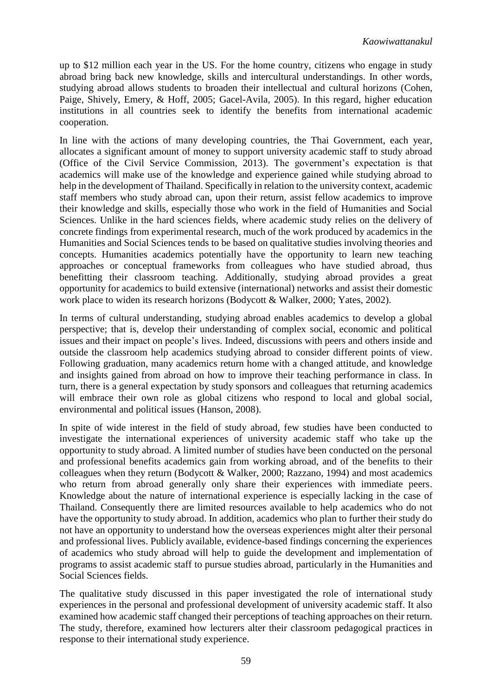up to \$12 million each year in the US. For the home country, citizens who engage in study abroad bring back new knowledge, skills and intercultural understandings. In other words, studying abroad allows students to broaden their intellectual and cultural horizons (Cohen, Paige, Shively, Emery, & Hoff, 2005; Gacel-Avila, 2005). In this regard, higher education institutions in all countries seek to identify the benefits from international academic cooperation.

In line with the actions of many developing countries, the Thai Government, each year, allocates a significant amount of money to support university academic staff to study abroad (Office of the Civil Service Commission, 2013). The government's expectation is that academics will make use of the knowledge and experience gained while studying abroad to help in the development of Thailand. Specifically in relation to the university context, academic staff members who study abroad can, upon their return, assist fellow academics to improve their knowledge and skills, especially those who work in the field of Humanities and Social Sciences. Unlike in the hard sciences fields, where academic study relies on the delivery of concrete findings from experimental research, much of the work produced by academics in the Humanities and Social Sciences tends to be based on qualitative studies involving theories and concepts. Humanities academics potentially have the opportunity to learn new teaching approaches or conceptual frameworks from colleagues who have studied abroad, thus benefitting their classroom teaching. Additionally, studying abroad provides a great opportunity for academics to build extensive (international) networks and assist their domestic work place to widen its research horizons (Bodycott & Walker, 2000; Yates, 2002).

In terms of cultural understanding, studying abroad enables academics to develop a global perspective; that is, develop their understanding of complex social, economic and political issues and their impact on people's lives. Indeed, discussions with peers and others inside and outside the classroom help academics studying abroad to consider different points of view. Following graduation, many academics return home with a changed attitude, and knowledge and insights gained from abroad on how to improve their teaching performance in class. In turn, there is a general expectation by study sponsors and colleagues that returning academics will embrace their own role as global citizens who respond to local and global social, environmental and political issues (Hanson, 2008).

In spite of wide interest in the field of study abroad, few studies have been conducted to investigate the international experiences of university academic staff who take up the opportunity to study abroad. A limited number of studies have been conducted on the personal and professional benefits academics gain from working abroad, and of the benefits to their colleagues when they return (Bodycott & Walker, 2000; Razzano, 1994) and most academics who return from abroad generally only share their experiences with immediate peers. Knowledge about the nature of international experience is especially lacking in the case of Thailand. Consequently there are limited resources available to help academics who do not have the opportunity to study abroad. In addition, academics who plan to further their study do not have an opportunity to understand how the overseas experiences might alter their personal and professional lives. Publicly available, evidence-based findings concerning the experiences of academics who study abroad will help to guide the development and implementation of programs to assist academic staff to pursue studies abroad, particularly in the Humanities and Social Sciences fields.

The qualitative study discussed in this paper investigated the role of international study experiences in the personal and professional development of university academic staff. It also examined how academic staff changed their perceptions of teaching approaches on their return. The study, therefore, examined how lecturers alter their classroom pedagogical practices in response to their international study experience.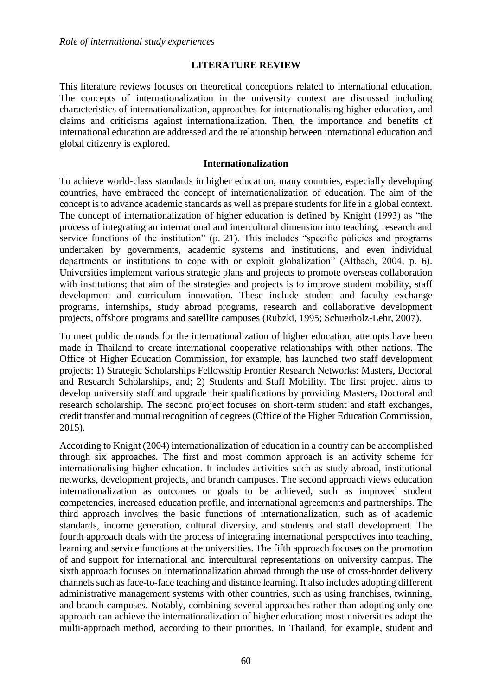## **LITERATURE REVIEW**

This literature reviews focuses on theoretical conceptions related to international education. The concepts of internationalization in the university context are discussed including characteristics of internationalization, approaches for internationalising higher education, and claims and criticisms against internationalization. Then, the importance and benefits of international education are addressed and the relationship between international education and global citizenry is explored.

### **Internationalization**

To achieve world-class standards in higher education, many countries, especially developing countries, have embraced the concept of internationalization of education. The aim of the concept is to advance academic standards as well as prepare students for life in a global context. The concept of internationalization of higher education is defined by Knight (1993) as "the process of integrating an international and intercultural dimension into teaching, research and service functions of the institution" (p. 21). This includes "specific policies and programs undertaken by governments, academic systems and institutions, and even individual departments or institutions to cope with or exploit globalization" (Altbach, 2004, p. 6). Universities implement various strategic plans and projects to promote overseas collaboration with institutions; that aim of the strategies and projects is to improve student mobility, staff development and curriculum innovation. These include student and faculty exchange programs, internships, study abroad programs, research and collaborative development projects, offshore programs and satellite campuses (Rubzki, 1995; Schuerholz-Lehr, 2007).

To meet public demands for the internationalization of higher education, attempts have been made in Thailand to create international cooperative relationships with other nations. The Office of Higher Education Commission, for example, has launched two staff development projects: 1) Strategic Scholarships Fellowship Frontier Research Networks: Masters, Doctoral and Research Scholarships, and; 2) Students and Staff Mobility. The first project aims to develop university staff and upgrade their qualifications by providing Masters, Doctoral and research scholarship. The second project focuses on short-term student and staff exchanges, credit transfer and mutual recognition of degrees (Office of the Higher Education Commission, 2015).

According to Knight (2004) internationalization of education in a country can be accomplished through six approaches. The first and most common approach is an activity scheme for internationalising higher education. It includes activities such as study abroad, institutional networks, development projects, and branch campuses. The second approach views education internationalization as outcomes or goals to be achieved, such as improved student competencies, increased education profile, and international agreements and partnerships. The third approach involves the basic functions of internationalization, such as of academic standards, income generation, cultural diversity, and students and staff development. The fourth approach deals with the process of integrating international perspectives into teaching, learning and service functions at the universities. The fifth approach focuses on the promotion of and support for international and intercultural representations on university campus. The sixth approach focuses on internationalization abroad through the use of cross-border delivery channels such as face-to-face teaching and distance learning. It also includes adopting different administrative management systems with other countries, such as using franchises, twinning, and branch campuses. Notably, combining several approaches rather than adopting only one approach can achieve the internationalization of higher education; most universities adopt the multi-approach method, according to their priorities. In Thailand, for example, student and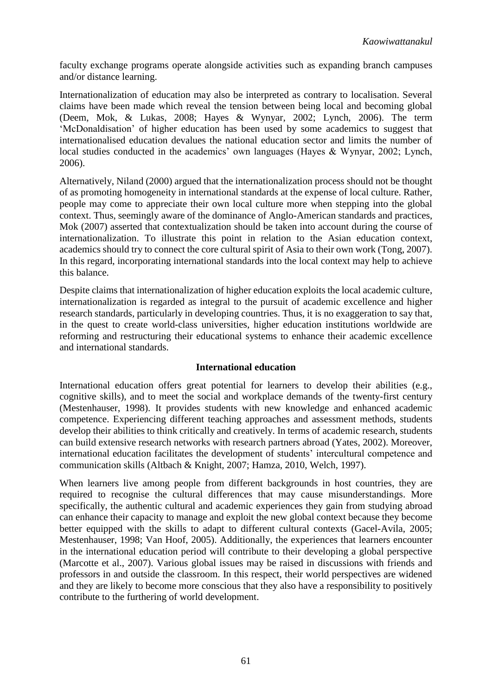faculty exchange programs operate alongside activities such as expanding branch campuses and/or distance learning.

Internationalization of education may also be interpreted as contrary to localisation. Several claims have been made which reveal the tension between being local and becoming global (Deem, Mok, & Lukas, 2008; Hayes & Wynyar, 2002; Lynch, 2006). The term 'McDonaldisation' of higher education has been used by some academics to suggest that internationalised education devalues the national education sector and limits the number of local studies conducted in the academics' own languages (Hayes & Wynyar, 2002; Lynch, 2006).

Alternatively, Niland (2000) argued that the internationalization process should not be thought of as promoting homogeneity in international standards at the expense of local culture. Rather, people may come to appreciate their own local culture more when stepping into the global context. Thus, seemingly aware of the dominance of Anglo-American standards and practices, Mok (2007) asserted that contextualization should be taken into account during the course of internationalization. To illustrate this point in relation to the Asian education context, academics should try to connect the core cultural spirit of Asia to their own work (Tong, 2007). In this regard, incorporating international standards into the local context may help to achieve this balance.

Despite claims that internationalization of higher education exploits the local academic culture, internationalization is regarded as integral to the pursuit of academic excellence and higher research standards, particularly in developing countries. Thus, it is no exaggeration to say that, in the quest to create world-class universities, higher education institutions worldwide are reforming and restructuring their educational systems to enhance their academic excellence and international standards.

#### **International education**

International education offers great potential for learners to develop their abilities (e.g., cognitive skills), and to meet the social and workplace demands of the twenty-first century (Mestenhauser, 1998). It provides students with new knowledge and enhanced academic competence. Experiencing different teaching approaches and assessment methods, students develop their abilities to think critically and creatively. In terms of academic research, students can build extensive research networks with research partners abroad (Yates, 2002). Moreover, international education facilitates the development of students' intercultural competence and communication skills (Altbach & Knight, 2007; Hamza, 2010, Welch, 1997).

When learners live among people from different backgrounds in host countries, they are required to recognise the cultural differences that may cause misunderstandings. More specifically, the authentic cultural and academic experiences they gain from studying abroad can enhance their capacity to manage and exploit the new global context because they become better equipped with the skills to adapt to different cultural contexts (Gacel-Avila, 2005; Mestenhauser, 1998; Van Hoof, 2005). Additionally, the experiences that learners encounter in the international education period will contribute to their developing a global perspective (Marcotte et al., 2007). Various global issues may be raised in discussions with friends and professors in and outside the classroom. In this respect, their world perspectives are widened and they are likely to become more conscious that they also have a responsibility to positively contribute to the furthering of world development.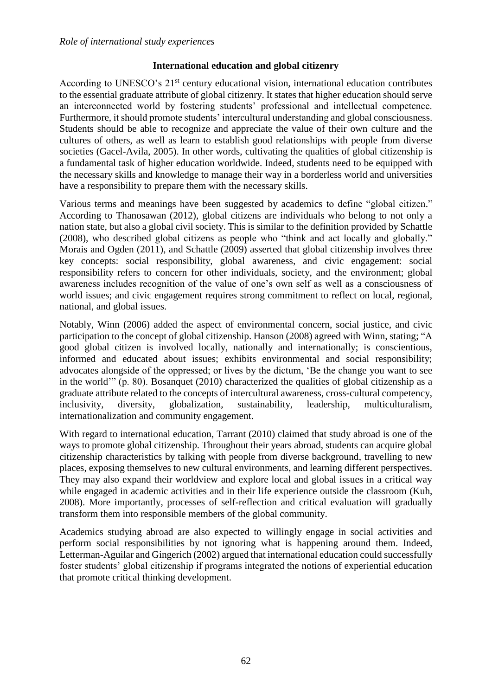## **International education and global citizenry**

According to UNESCO's 21<sup>st</sup> century educational vision, international education contributes to the essential graduate attribute of global citizenry. It states that higher education should serve an interconnected world by fostering students' professional and intellectual competence. Furthermore, it should promote students' intercultural understanding and global consciousness. Students should be able to recognize and appreciate the value of their own culture and the cultures of others, as well as learn to establish good relationships with people from diverse societies (Gacel-Avila, 2005). In other words, cultivating the qualities of global citizenship is a fundamental task of higher education worldwide. Indeed, students need to be equipped with the necessary skills and knowledge to manage their way in a borderless world and universities have a responsibility to prepare them with the necessary skills.

Various terms and meanings have been suggested by academics to define "global citizen." According to Thanosawan (2012), global citizens are individuals who belong to not only a nation state, but also a global civil society. This is similar to the definition provided by Schattle (2008), who described global citizens as people who "think and act locally and globally." Morais and Ogden (2011), and Schattle (2009) asserted that global citizenship involves three key concepts: social responsibility, global awareness, and civic engagement: social responsibility refers to concern for other individuals, society, and the environment; global awareness includes recognition of the value of one's own self as well as a consciousness of world issues; and civic engagement requires strong commitment to reflect on local, regional, national, and global issues.

Notably, Winn (2006) added the aspect of environmental concern, social justice, and civic participation to the concept of global citizenship. Hanson (2008) agreed with Winn, stating; "A good global citizen is involved locally, nationally and internationally; is conscientious, informed and educated about issues; exhibits environmental and social responsibility; advocates alongside of the oppressed; or lives by the dictum, 'Be the change you want to see in the world'" (p. 80). Bosanquet (2010) characterized the qualities of global citizenship as a graduate attribute related to the concepts of intercultural awareness, cross-cultural competency, inclusivity, diversity, globalization, sustainability, leadership, multiculturalism, internationalization and community engagement.

With regard to international education, Tarrant (2010) claimed that study abroad is one of the ways to promote global citizenship. Throughout their years abroad, students can acquire global citizenship characteristics by talking with people from diverse background, travelling to new places, exposing themselves to new cultural environments, and learning different perspectives. They may also expand their worldview and explore local and global issues in a critical way while engaged in academic activities and in their life experience outside the classroom (Kuh, 2008). More importantly, processes of self-reflection and critical evaluation will gradually transform them into responsible members of the global community.

Academics studying abroad are also expected to willingly engage in social activities and perform social responsibilities by not ignoring what is happening around them. Indeed, Letterman-Aguilar and Gingerich (2002) argued that international education could successfully foster students' global citizenship if programs integrated the notions of experiential education that promote critical thinking development.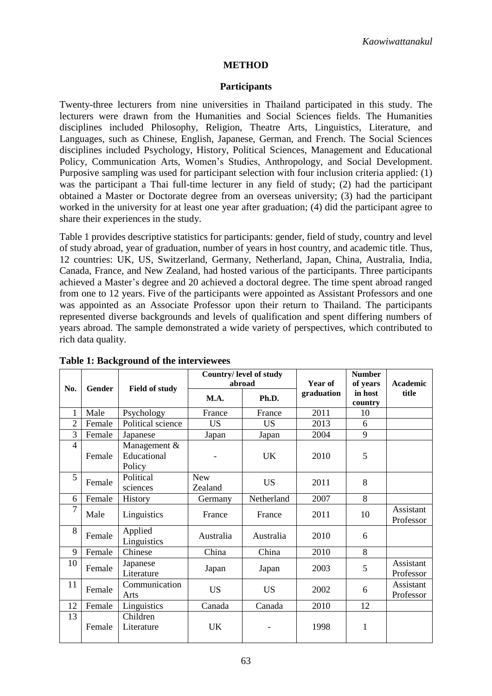#### **METHOD**

#### **Participants**

Twenty-three lecturers from nine universities in Thailand participated in this study. The lecturers were drawn from the Humanities and Social Sciences fields. The Humanities disciplines included Philosophy, Religion, Theatre Arts, Linguistics, Literature, and Languages, such as Chinese, English, Japanese, German, and French. The Social Sciences disciplines included Psychology, History, Political Sciences, Management and Educational Policy, Communication Arts, Women's Studies, Anthropology, and Social Development. Purposive sampling was used for participant selection with four inclusion criteria applied: (1) was the participant a Thai full-time lecturer in any field of study; (2) had the participant obtained a Master or Doctorate degree from an overseas university; (3) had the participant worked in the university for at least one year after graduation; (4) did the participant agree to share their experiences in the study.

Table 1 provides descriptive statistics for participants: gender, field of study, country and level of study abroad, year of graduation, number of years in host country, and academic title. Thus, 12 countries: UK, US, Switzerland, Germany, Netherland, Japan, China, Australia, India, Canada, France, and New Zealand, had hosted various of the participants. Three participants achieved a Master's degree and 20 achieved a doctoral degree. The time spent abroad ranged from one to 12 years. Five of the participants were appointed as Assistant Professors and one was appointed as an Associate Professor upon their return to Thailand. The participants represented diverse backgrounds and levels of qualification and spent differing numbers of years abroad. The sample demonstrated a wide variety of perspectives, which contributed to rich data quality.

|                | <b>Gender</b> | <b>Field of study</b>                 | Country/level of study<br>abroad |            | Year of    | <b>Number</b><br>of years | Academic               |
|----------------|---------------|---------------------------------------|----------------------------------|------------|------------|---------------------------|------------------------|
| No.            |               |                                       | <b>M.A.</b>                      | Ph.D.      | graduation | in host<br>country        | title                  |
| 1              | Male          | Psychology                            | France                           | France     | 2011       | 10                        |                        |
| $\overline{2}$ | Female        | Political science                     | <b>US</b>                        | <b>US</b>  | 2013       | 6                         |                        |
| 3              | Female        | Japanese                              | Japan                            | Japan      | 2004       | 9                         |                        |
| $\overline{4}$ | Female        | Management &<br>Educational<br>Policy |                                  | UK         | 2010       | 5                         |                        |
| 5              | Female        | Political<br>sciences                 | <b>New</b><br>Zealand            | <b>US</b>  | 2011       | 8                         |                        |
| 6              | Female        | History                               | Germany                          | Netherland | 2007       | 8                         |                        |
| 7              | Male          | Linguistics                           | France                           | France     | 2011       | 10                        | Assistant<br>Professor |
| 8              | Female        | Applied<br>Linguistics                | Australia                        | Australia  | 2010       | 6                         |                        |
| 9              | Female        | Chinese                               | China                            | China      | 2010       | 8                         |                        |
| 10             | Female        | Japanese<br>Literature                | Japan                            | Japan      | 2003       | 5                         | Assistant<br>Professor |
| 11             | Female        | Communication<br>Arts                 | <b>US</b>                        | <b>US</b>  | 2002       | 6                         | Assistant<br>Professor |
| 12             | Female        | Linguistics                           | Canada                           | Canada     | 2010       | 12                        |                        |
| 13             | Female        | Children<br>Literature                | UK                               |            | 1998       | 1                         |                        |

**Table 1: Background of the interviewees**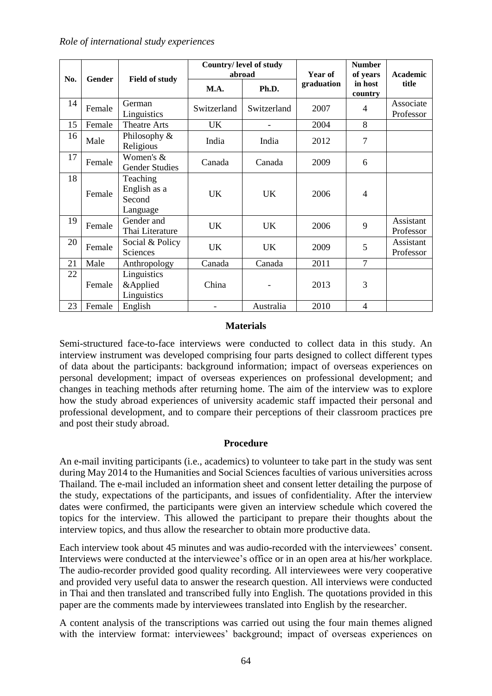#### *Role of international study experiences*

| No. | Gender | <b>Field of study</b>                          | Country/level of study<br>abroad |             | Year of    | <b>Number</b><br>of years | Academic               |
|-----|--------|------------------------------------------------|----------------------------------|-------------|------------|---------------------------|------------------------|
|     |        |                                                | <b>M.A.</b>                      | Ph.D.       | graduation | in host<br>country        | title                  |
| 14  | Female | German<br>Linguistics                          | Switzerland                      | Switzerland | 2007       | 4                         | Associate<br>Professor |
| 15  | Female | <b>Theatre Arts</b>                            | UK                               |             | 2004       | 8                         |                        |
| 16  | Male   | Philosophy &<br>Religious                      | India                            | India       | 2012       | 7                         |                        |
| 17  | Female | Women's &<br><b>Gender Studies</b>             | Canada                           | Canada      | 2009       | 6                         |                        |
| 18  | Female | Teaching<br>English as a<br>Second<br>Language | UK                               | UK          | 2006       | 4                         |                        |
| 19  | Female | Gender and<br>Thai Literature                  | UK                               | UK          | 2006       | 9                         | Assistant<br>Professor |
| 20  | Female | Social & Policy<br>Sciences                    | UK                               | <b>UK</b>   | 2009       | 5                         | Assistant<br>Professor |
| 21  | Male   | Anthropology                                   | Canada                           | Canada      | 2011       | $\overline{7}$            |                        |
| 22  | Female | Linguistics<br>&Applied<br>Linguistics         | China                            |             | 2013       | 3                         |                        |
| 23  | Female | English                                        |                                  | Australia   | 2010       | 4                         |                        |

#### **Materials**

Semi-structured face-to-face interviews were conducted to collect data in this study. An interview instrument was developed comprising four parts designed to collect different types of data about the participants: background information; impact of overseas experiences on personal development; impact of overseas experiences on professional development; and changes in teaching methods after returning home. The aim of the interview was to explore how the study abroad experiences of university academic staff impacted their personal and professional development, and to compare their perceptions of their classroom practices pre and post their study abroad.

#### **Procedure**

An e-mail inviting participants (i.e., academics) to volunteer to take part in the study was sent during May 2014 to the Humanities and Social Sciences faculties of various universities across Thailand. The e-mail included an information sheet and consent letter detailing the purpose of the study, expectations of the participants, and issues of confidentiality. After the interview dates were confirmed, the participants were given an interview schedule which covered the topics for the interview. This allowed the participant to prepare their thoughts about the interview topics, and thus allow the researcher to obtain more productive data.

Each interview took about 45 minutes and was audio-recorded with the interviewees' consent. Interviews were conducted at the interviewee's office or in an open area at his/her workplace. The audio-recorder provided good quality recording. All interviewees were very cooperative and provided very useful data to answer the research question. All interviews were conducted in Thai and then translated and transcribed fully into English. The quotations provided in this paper are the comments made by interviewees translated into English by the researcher.

A content analysis of the transcriptions was carried out using the four main themes aligned with the interview format: interviewees' background; impact of overseas experiences on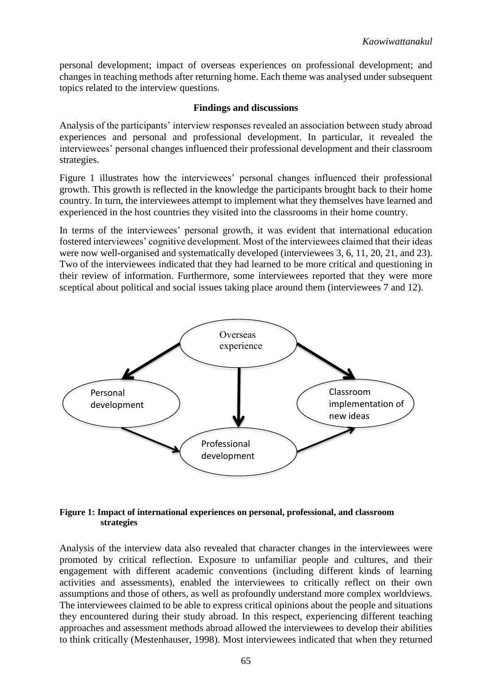personal development; impact of overseas experiences on professional development; and changes in teaching methods after returning home. Each theme was analysed under subsequent topics related to the interview questions.

## **Findings and discussions**

Analysis of the participants' interview responses revealed an association between study abroad experiences and personal and professional development. In particular, it revealed the interviewees' personal changes influenced their professional development and their classroom strategies.

Figure 1 illustrates how the interviewees' personal changes influenced their professional growth. This growth is reflected in the knowledge the participants brought back to their home country. In turn, the interviewees attempt to implement what they themselves have learned and experienced in the host countries they visited into the classrooms in their home country.

In terms of the interviewees' personal growth, it was evident that international education fostered interviewees' cognitive development. Most of the interviewees claimed that their ideas were now well-organised and systematically developed (interviewees 3, 6, 11, 20, 21, and 23). Two of the interviewees indicated that they had learned to be more critical and questioning in their review of information. Furthermore, some interviewees reported that they were more sceptical about political and social issues taking place around them (interviewees 7 and 12).



#### **Figure 1: Impact of international experiences on personal, professional, and classroom strategies**

Analysis of the interview data also revealed that character changes in the interviewees were promoted by critical reflection. Exposure to unfamiliar people and cultures, and their engagement with different academic conventions (including different kinds of learning activities and assessments), enabled the interviewees to critically reflect on their own assumptions and those of others, as well as profoundly understand more complex worldviews. The interviewees claimed to be able to express critical opinions about the people and situations they encountered during their study abroad. In this respect, experiencing different teaching approaches and assessment methods abroad allowed the interviewees to develop their abilities to think critically (Mestenhauser, 1998). Most interviewees indicated that when they returned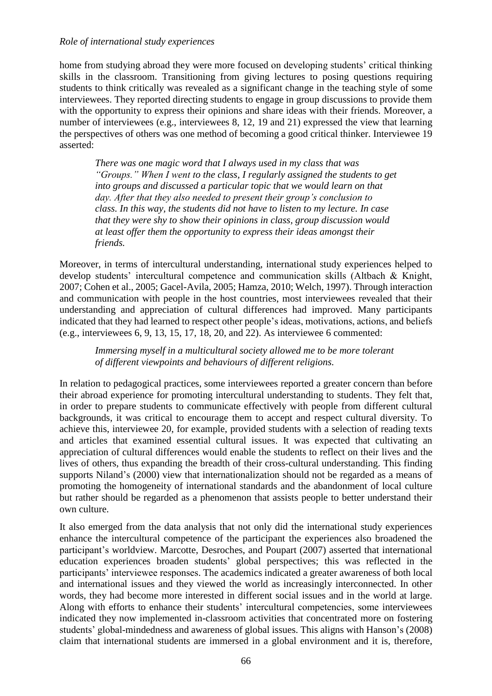#### *Role of international study experiences*

home from studying abroad they were more focused on developing students' critical thinking skills in the classroom. Transitioning from giving lectures to posing questions requiring students to think critically was revealed as a significant change in the teaching style of some interviewees. They reported directing students to engage in group discussions to provide them with the opportunity to express their opinions and share ideas with their friends. Moreover, a number of interviewees (e.g., interviewees 8, 12, 19 and 21) expressed the view that learning the perspectives of others was one method of becoming a good critical thinker. Interviewee 19 asserted:

*There was one magic word that I always used in my class that was "Groups." When I went to the class, I regularly assigned the students to get into groups and discussed a particular topic that we would learn on that day. After that they also needed to present their group's conclusion to class. In this way, the students did not have to listen to my lecture. In case that they were shy to show their opinions in class, group discussion would at least offer them the opportunity to express their ideas amongst their friends.*

Moreover, in terms of intercultural understanding, international study experiences helped to develop students' intercultural competence and communication skills (Altbach & Knight, 2007; Cohen et al., 2005; Gacel-Avila, 2005; Hamza, 2010; Welch, 1997). Through interaction and communication with people in the host countries, most interviewees revealed that their understanding and appreciation of cultural differences had improved. Many participants indicated that they had learned to respect other people's ideas, motivations, actions, and beliefs (e.g., interviewees 6, 9, 13, 15, 17, 18, 20, and 22). As interviewee 6 commented:

*Immersing myself in a multicultural society allowed me to be more tolerant of different viewpoints and behaviours of different religions.*

In relation to pedagogical practices, some interviewees reported a greater concern than before their abroad experience for promoting intercultural understanding to students. They felt that, in order to prepare students to communicate effectively with people from different cultural backgrounds, it was critical to encourage them to accept and respect cultural diversity. To achieve this, interviewee 20, for example, provided students with a selection of reading texts and articles that examined essential cultural issues. It was expected that cultivating an appreciation of cultural differences would enable the students to reflect on their lives and the lives of others, thus expanding the breadth of their cross-cultural understanding. This finding supports Niland's (2000) view that internationalization should not be regarded as a means of promoting the homogeneity of international standards and the abandonment of local culture but rather should be regarded as a phenomenon that assists people to better understand their own culture.

It also emerged from the data analysis that not only did the international study experiences enhance the intercultural competence of the participant the experiences also broadened the participant's worldview. Marcotte, Desroches, and Poupart (2007) asserted that international education experiences broaden students' global perspectives; this was reflected in the participants' interviewee responses. The academics indicated a greater awareness of both local and international issues and they viewed the world as increasingly interconnected. In other words, they had become more interested in different social issues and in the world at large. Along with efforts to enhance their students' intercultural competencies, some interviewees indicated they now implemented in-classroom activities that concentrated more on fostering students' global-mindedness and awareness of global issues. This aligns with Hanson's (2008) claim that international students are immersed in a global environment and it is, therefore,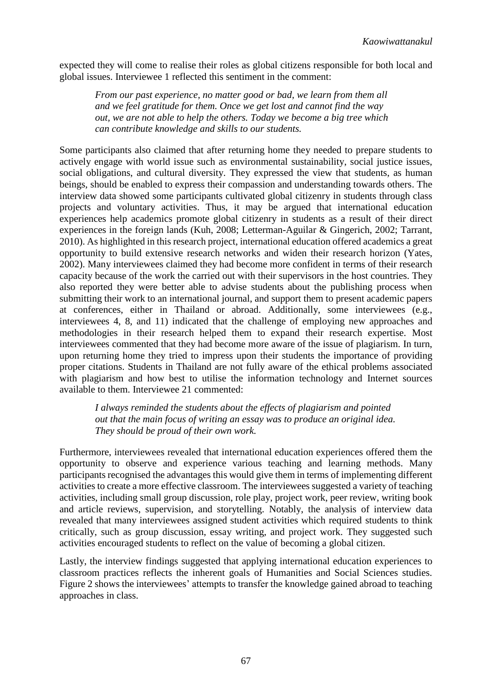expected they will come to realise their roles as global citizens responsible for both local and global issues. Interviewee 1 reflected this sentiment in the comment:

*From our past experience, no matter good or bad, we learn from them all and we feel gratitude for them. Once we get lost and cannot find the way out, we are not able to help the others. Today we become a big tree which can contribute knowledge and skills to our students.*

Some participants also claimed that after returning home they needed to prepare students to actively engage with world issue such as environmental sustainability, social justice issues, social obligations, and cultural diversity. They expressed the view that students, as human beings, should be enabled to express their compassion and understanding towards others. The interview data showed some participants cultivated global citizenry in students through class projects and voluntary activities. Thus, it may be argued that international education experiences help academics promote global citizenry in students as a result of their direct experiences in the foreign lands (Kuh, 2008; Letterman-Aguilar & Gingerich, 2002; Tarrant, 2010). As highlighted in this research project, international education offered academics a great opportunity to build extensive research networks and widen their research horizon (Yates, 2002). Many interviewees claimed they had become more confident in terms of their research capacity because of the work the carried out with their supervisors in the host countries. They also reported they were better able to advise students about the publishing process when submitting their work to an international journal, and support them to present academic papers at conferences, either in Thailand or abroad. Additionally, some interviewees (e.g., interviewees 4, 8, and 11) indicated that the challenge of employing new approaches and methodologies in their research helped them to expand their research expertise. Most interviewees commented that they had become more aware of the issue of plagiarism. In turn, upon returning home they tried to impress upon their students the importance of providing proper citations. Students in Thailand are not fully aware of the ethical problems associated with plagiarism and how best to utilise the information technology and Internet sources available to them. Interviewee 21 commented:

*I always reminded the students about the effects of plagiarism and pointed out that the main focus of writing an essay was to produce an original idea. They should be proud of their own work.*

Furthermore, interviewees revealed that international education experiences offered them the opportunity to observe and experience various teaching and learning methods. Many participants recognised the advantages this would give them in terms of implementing different activities to create a more effective classroom. The interviewees suggested a variety of teaching activities, including small group discussion, role play, project work, peer review, writing book and article reviews, supervision, and storytelling. Notably, the analysis of interview data revealed that many interviewees assigned student activities which required students to think critically, such as group discussion, essay writing, and project work. They suggested such activities encouraged students to reflect on the value of becoming a global citizen.

Lastly, the interview findings suggested that applying international education experiences to classroom practices reflects the inherent goals of Humanities and Social Sciences studies. Figure 2 shows the interviewees' attempts to transfer the knowledge gained abroad to teaching approaches in class.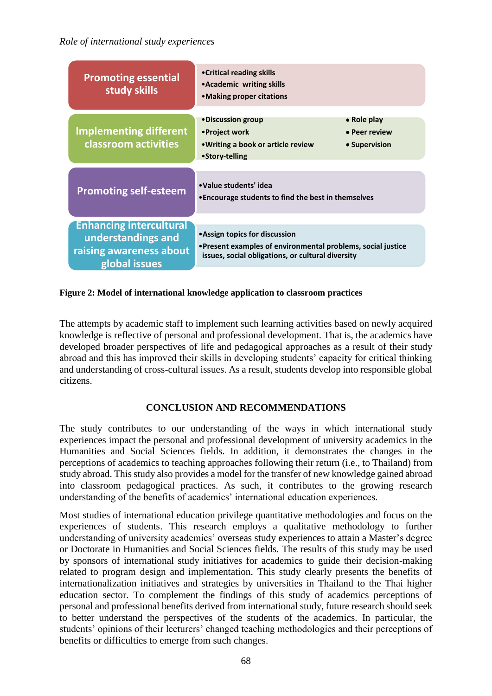| <b>Promoting essential</b><br>study skills                                                       | • Critical reading skills<br>• Academic writing skills<br>• Making proper citations                                                                 |                                                       |  |
|--------------------------------------------------------------------------------------------------|-----------------------------------------------------------------------------------------------------------------------------------------------------|-------------------------------------------------------|--|
| Implementing different<br>classroom activities                                                   | •Discussion group<br>•Project work<br>• Writing a book or article review<br>•Story-telling                                                          | $\bullet$ Role play<br>• Peer review<br>• Supervision |  |
| <b>Promoting self-esteem</b>                                                                     | • Value students' idea<br>• Encourage students to find the best in themselves                                                                       |                                                       |  |
| <b>Enhancing intercultural</b><br>understandings and<br>raising awareness about<br>global issues | • Assign topics for discussion<br>• Present examples of environmental problems, social justice<br>issues, social obligations, or cultural diversity |                                                       |  |

## **Figure 2: Model of international knowledge application to classroom practices**

The attempts by academic staff to implement such learning activities based on newly acquired knowledge is reflective of personal and professional development. That is, the academics have developed broader perspectives of life and pedagogical approaches as a result of their study abroad and this has improved their skills in developing students' capacity for critical thinking and understanding of cross-cultural issues. As a result, students develop into responsible global citizens.

## **CONCLUSION AND RECOMMENDATIONS**

The study contributes to our understanding of the ways in which international study experiences impact the personal and professional development of university academics in the Humanities and Social Sciences fields. In addition, it demonstrates the changes in the perceptions of academics to teaching approaches following their return (i.e., to Thailand) from study abroad. This study also provides a model for the transfer of new knowledge gained abroad into classroom pedagogical practices. As such, it contributes to the growing research understanding of the benefits of academics' international education experiences.

Most studies of international education privilege quantitative methodologies and focus on the experiences of students. This research employs a qualitative methodology to further understanding of university academics' overseas study experiences to attain a Master's degree or Doctorate in Humanities and Social Sciences fields. The results of this study may be used by sponsors of international study initiatives for academics to guide their decision-making related to program design and implementation. This study clearly presents the benefits of internationalization initiatives and strategies by universities in Thailand to the Thai higher education sector. To complement the findings of this study of academics perceptions of personal and professional benefits derived from international study, future research should seek to better understand the perspectives of the students of the academics. In particular, the students' opinions of their lecturers' changed teaching methodologies and their perceptions of benefits or difficulties to emerge from such changes.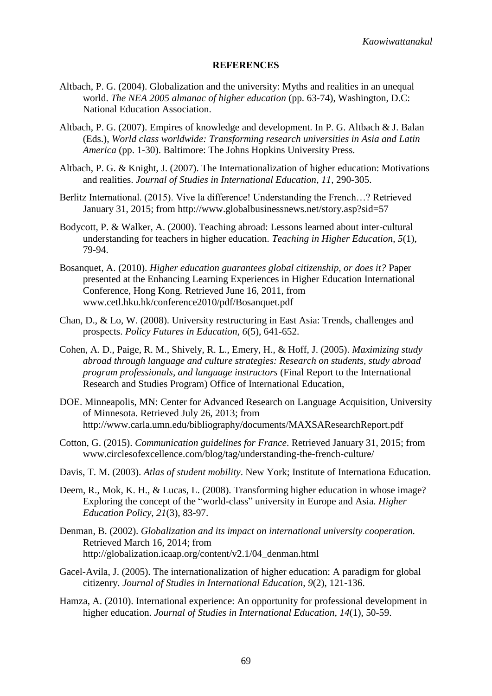*Kaowiwattanakul*

#### **REFERENCES**

- Altbach, P. G. (2004). Globalization and the university: Myths and realities in an unequal world. *The NEA 2005 almanac of higher education* (pp. 63-74), Washington, D.C: National Education Association.
- Altbach, P. G. (2007). Empires of knowledge and development. In P. G. Altbach & J. Balan (Eds.), *World class worldwide: Transforming research universities in Asia and Latin America* (pp. 1-30). Baltimore: The Johns Hopkins University Press.
- Altbach, P. G. & Knight, J. (2007). The Internationalization of higher education: Motivations and realities. *Journal of Studies in International Education*, *11*, 290-305.
- Berlitz International. (2015). Vive la difference! Understanding the French…? Retrieved January 31, 2015; from http://www.globalbusinessnews.net/story.asp?sid=57
- Bodycott, P. & Walker, A. (2000). Teaching abroad: Lessons learned about inter-cultural understanding for teachers in higher education. *Teaching in Higher Education*, *5*(1), 79-94.
- Bosanquet, A. (2010). *Higher education guarantees global citizenship, or does it?* Paper presented at the Enhancing Learning Experiences in Higher Education International Conference, Hong Kong. Retrieved June 16, 2011, from www.cetl.hku.hk/conference2010/pdf/Bosanquet.pdf
- Chan, D., & Lo, W. (2008). University restructuring in East Asia: Trends, challenges and prospects. *Policy Futures in Education*, *6*(5), 641-652.
- Cohen, A. D., Paige, R. M., Shively, R. L., Emery, H., & Hoff, J. (2005). *Maximizing study abroad through language and culture strategies: Research on students, study abroad program professionals, and language instructors* (Final Report to the International Research and Studies Program) Office of International Education,
- DOE. Minneapolis, MN: Center for Advanced Research on Language Acquisition, University of Minnesota. Retrieved July 26, 2013; from http://www.carla.umn.edu/bibliography/documents/MAXSAResearchReport.pdf
- Cotton, G. (2015). *Communication guidelines for France*. Retrieved January 31, 2015; from www.circlesofexcellence.com/blog/tag/understanding-the-french-culture/
- Davis, T. M. (2003). *Atlas of student mobility*. New York; Institute of Internationa Education.
- Deem, R., Mok, K. H., & Lucas, L. (2008). Transforming higher education in whose image? Exploring the concept of the "world-class" university in Europe and Asia. *Higher Education Policy, 21*(3), 83-97.
- Denman, B. (2002). *Globalization and its impact on international university cooperation.*  Retrieved March 16, 2014; from http://globalization.icaap.org/content/v2.1/04\_denman.html
- Gacel-Avila, J. (2005). The internationalization of higher education: A paradigm for global citizenry. *Journal of Studies in International Education*, *9*(2), 121-136.
- Hamza, A. (2010). International experience: An opportunity for professional development in higher education. *Journal of Studies in International Education*, *14*(1), 50-59.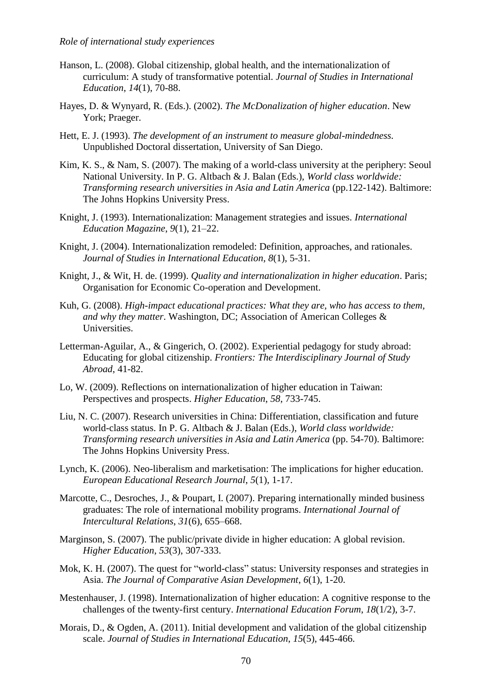- Hanson, L. (2008). Global citizenship, global health, and the internationalization of curriculum: A study of transformative potential. *Journal of Studies in International Education*, *14*(1), 70-88.
- Hayes, D. & Wynyard, R. (Eds.). (2002). *The McDonalization of higher education*. New York; Praeger.
- Hett, E. J. (1993). *The development of an instrument to measure global-mindedness.* Unpublished Doctoral dissertation, University of San Diego.
- Kim, K. S., & Nam, S. (2007). The making of a world-class university at the periphery: Seoul National University. In P. G. Altbach & J. Balan (Eds.), *World class worldwide: Transforming research universities in Asia and Latin America* (pp.122-142). Baltimore: The Johns Hopkins University Press.
- Knight, J. (1993). Internationalization: Management strategies and issues. *International Education Magazine*, *9*(1), 21–22.
- Knight, J. (2004). Internationalization remodeled: Definition, approaches, and rationales. *Journal of Studies in International Education*, *8*(1), 5-31.
- Knight, J., & Wit, H. de. (1999). *Quality and internationalization in higher education*. Paris; Organisation for Economic Co-operation and Development.
- Kuh, G. (2008). *High-impact educational practices: What they are, who has access to them, and why they matter*. Washington, DC; Association of American Colleges & Universities.
- Letterman-Aguilar, A., & Gingerich, O. (2002). Experiential pedagogy for study abroad: Educating for global citizenship. *Frontiers: The Interdisciplinary Journal of Study Abroad*, 41-82.
- Lo, W. (2009). Reflections on internationalization of higher education in Taiwan: Perspectives and prospects. *Higher Education*, *58*, 733-745.
- Liu, N. C. (2007). Research universities in China: Differentiation, classification and future world-class status. In P. G. Altbach & J. Balan (Eds.), *World class worldwide: Transforming research universities in Asia and Latin America* (pp. 54-70). Baltimore: The Johns Hopkins University Press.
- Lynch, K. (2006). Neo-liberalism and marketisation: The implications for higher education. *European Educational Research Journal*, *5*(1), 1-17.
- Marcotte, C., Desroches, J., & Poupart, I. (2007). Preparing internationally minded business graduates: The role of international mobility programs. *International Journal of Intercultural Relations*, *31*(6), 655–668.
- Marginson, S. (2007). The public/private divide in higher education: A global revision. *Higher Education*, *53*(3), 307-333.
- Mok, K. H. (2007). The quest for "world-class" status: University responses and strategies in Asia. *The Journal of Comparative Asian Development*, *6*(1), 1-20.
- Mestenhauser, J. (1998). Internationalization of higher education: A cognitive response to the challenges of the twenty-first century. *International Education Forum*, *18*(1/2), 3-7.
- Morais, D., & Ogden, A. (2011). Initial development and validation of the global citizenship scale. *Journal of Studies in International Education*, *15*(5), 445-466.